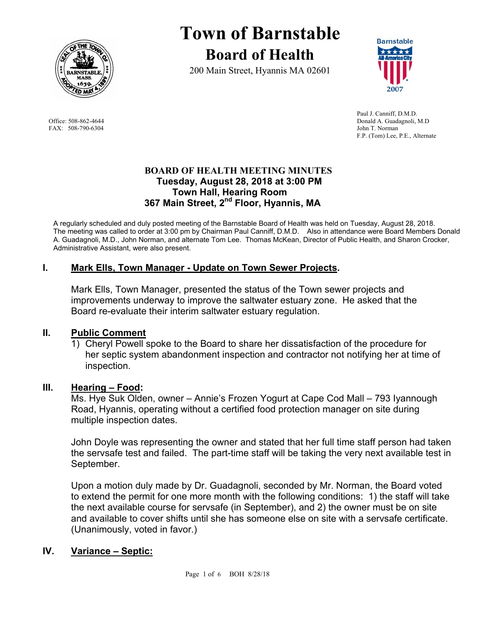

FAX: 508-790-6304 John T. Norman

# **Town of Barnstable Board of Health**

200 Main Street, Hyannis MA 02601



 Paul J. Canniff, D.M.D. Office: 508-862-4644 Donald A. Guadagnoli, M.D F.P. (Tom) Lee, P.E., Alternate

## **BOARD OF HEALTH MEETING MINUTES Tuesday, August 28, 2018 at 3:00 PM Town Hall, Hearing Room 367 Main Street, 2nd Floor, Hyannis, MA**

A regularly scheduled and duly posted meeting of the Barnstable Board of Health was held on Tuesday, August 28, 2018. The meeting was called to order at 3:00 pm by Chairman Paul Canniff, D.M.D. Also in attendance were Board Members Donald A. Guadagnoli, M.D., John Norman, and alternate Tom Lee. Thomas McKean, Director of Public Health, and Sharon Crocker, Administrative Assistant, were also present.

# **I. Mark Ells, Town Manager - Update on Town Sewer Projects.**

Mark Ells, Town Manager, presented the status of the Town sewer projects and improvements underway to improve the saltwater estuary zone. He asked that the Board re-evaluate their interim saltwater estuary regulation.

## **II. Public Comment**

1) Cheryl Powell spoke to the Board to share her dissatisfaction of the procedure for her septic system abandonment inspection and contractor not notifying her at time of inspection.

## **III. Hearing – Food:**

Ms. Hye Suk Olden, owner – Annie's Frozen Yogurt at Cape Cod Mall – 793 Iyannough Road, Hyannis, operating without a certified food protection manager on site during multiple inspection dates.

John Doyle was representing the owner and stated that her full time staff person had taken the servsafe test and failed. The part-time staff will be taking the very next available test in September.

Upon a motion duly made by Dr. Guadagnoli, seconded by Mr. Norman, the Board voted to extend the permit for one more month with the following conditions: 1) the staff will take the next available course for servsafe (in September), and 2) the owner must be on site and available to cover shifts until she has someone else on site with a servsafe certificate. (Unanimously, voted in favor.)

## **IV. Variance – Septic:**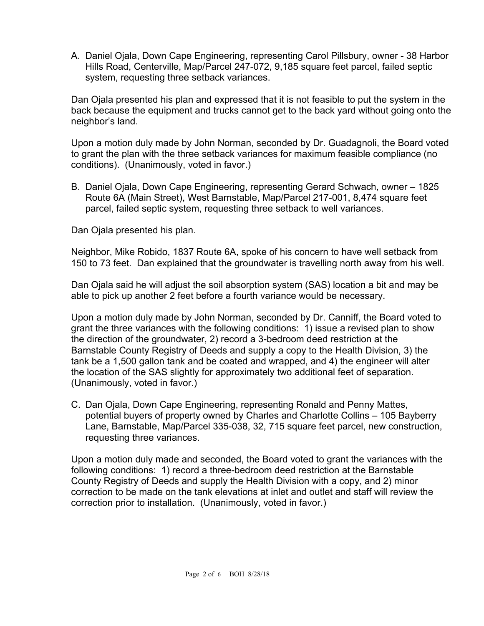A. Daniel Ojala, Down Cape Engineering, representing Carol Pillsbury, owner - 38 Harbor Hills Road, Centerville, Map/Parcel 247-072, 9,185 square feet parcel, failed septic system, requesting three setback variances.

Dan Ojala presented his plan and expressed that it is not feasible to put the system in the back because the equipment and trucks cannot get to the back yard without going onto the neighbor's land.

Upon a motion duly made by John Norman, seconded by Dr. Guadagnoli, the Board voted to grant the plan with the three setback variances for maximum feasible compliance (no conditions). (Unanimously, voted in favor.)

B. Daniel Ojala, Down Cape Engineering, representing Gerard Schwach, owner – 1825 Route 6A (Main Street), West Barnstable, Map/Parcel 217-001, 8,474 square feet parcel, failed septic system, requesting three setback to well variances.

Dan Ojala presented his plan.

Neighbor, Mike Robido, 1837 Route 6A, spoke of his concern to have well setback from 150 to 73 feet. Dan explained that the groundwater is travelling north away from his well.

Dan Ojala said he will adjust the soil absorption system (SAS) location a bit and may be able to pick up another 2 feet before a fourth variance would be necessary.

Upon a motion duly made by John Norman, seconded by Dr. Canniff, the Board voted to grant the three variances with the following conditions: 1) issue a revised plan to show the direction of the groundwater, 2) record a 3-bedroom deed restriction at the Barnstable County Registry of Deeds and supply a copy to the Health Division, 3) the tank be a 1,500 gallon tank and be coated and wrapped, and 4) the engineer will alter the location of the SAS slightly for approximately two additional feet of separation. (Unanimously, voted in favor.)

C. Dan Ojala, Down Cape Engineering, representing Ronald and Penny Mattes, potential buyers of property owned by Charles and Charlotte Collins – 105 Bayberry Lane, Barnstable, Map/Parcel 335-038, 32, 715 square feet parcel, new construction, requesting three variances.

Upon a motion duly made and seconded, the Board voted to grant the variances with the following conditions: 1) record a three-bedroom deed restriction at the Barnstable County Registry of Deeds and supply the Health Division with a copy, and 2) minor correction to be made on the tank elevations at inlet and outlet and staff will review the correction prior to installation. (Unanimously, voted in favor.)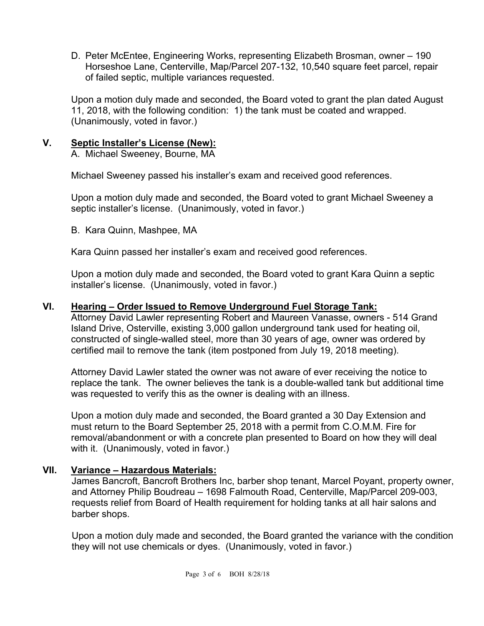D. Peter McEntee, Engineering Works, representing Elizabeth Brosman, owner – 190 Horseshoe Lane, Centerville, Map/Parcel 207-132, 10,540 square feet parcel, repair of failed septic, multiple variances requested.

Upon a motion duly made and seconded, the Board voted to grant the plan dated August 11, 2018, with the following condition: 1) the tank must be coated and wrapped. (Unanimously, voted in favor.)

# **V. Septic Installer's License (New):**

A. Michael Sweeney, Bourne, MA

Michael Sweeney passed his installer's exam and received good references.

Upon a motion duly made and seconded, the Board voted to grant Michael Sweeney a septic installer's license. (Unanimously, voted in favor.)

B. Kara Quinn, Mashpee, MA

Kara Quinn passed her installer's exam and received good references.

Upon a motion duly made and seconded, the Board voted to grant Kara Quinn a septic installer's license. (Unanimously, voted in favor.)

## **VI. Hearing – Order Issued to Remove Underground Fuel Storage Tank:**

Attorney David Lawler representing Robert and Maureen Vanasse, owners - 514 Grand Island Drive, Osterville, existing 3,000 gallon underground tank used for heating oil, constructed of single-walled steel, more than 30 years of age, owner was ordered by certified mail to remove the tank (item postponed from July 19, 2018 meeting).

Attorney David Lawler stated the owner was not aware of ever receiving the notice to replace the tank. The owner believes the tank is a double-walled tank but additional time was requested to verify this as the owner is dealing with an illness.

Upon a motion duly made and seconded, the Board granted a 30 Day Extension and must return to the Board September 25, 2018 with a permit from C.O.M.M. Fire for removal/abandonment or with a concrete plan presented to Board on how they will deal with it. (Unanimously, voted in favor.)

## **VII. Variance – Hazardous Materials:**

James Bancroft, Bancroft Brothers Inc, barber shop tenant, Marcel Poyant, property owner, and Attorney Philip Boudreau – 1698 Falmouth Road, Centerville, Map/Parcel 209-003, requests relief from Board of Health requirement for holding tanks at all hair salons and barber shops.

Upon a motion duly made and seconded, the Board granted the variance with the condition they will not use chemicals or dyes. (Unanimously, voted in favor.)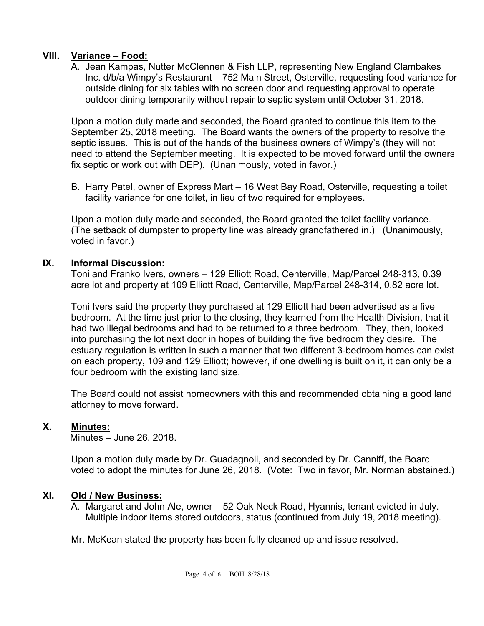#### **VIII. Variance – Food:**

A. Jean Kampas, Nutter McClennen & Fish LLP, representing New England Clambakes Inc. d/b/a Wimpy's Restaurant – 752 Main Street, Osterville, requesting food variance for outside dining for six tables with no screen door and requesting approval to operate outdoor dining temporarily without repair to septic system until October 31, 2018.

Upon a motion duly made and seconded, the Board granted to continue this item to the September 25, 2018 meeting. The Board wants the owners of the property to resolve the septic issues. This is out of the hands of the business owners of Wimpy's (they will not need to attend the September meeting. It is expected to be moved forward until the owners fix septic or work out with DEP). (Unanimously, voted in favor.)

B. Harry Patel, owner of Express Mart – 16 West Bay Road, Osterville, requesting a toilet facility variance for one toilet, in lieu of two required for employees.

Upon a motion duly made and seconded, the Board granted the toilet facility variance. (The setback of dumpster to property line was already grandfathered in.) (Unanimously, voted in favor.)

## **IX. Informal Discussion:**

Toni and Franko Ivers, owners – 129 Elliott Road, Centerville, Map/Parcel 248-313, 0.39 acre lot and property at 109 Elliott Road, Centerville, Map/Parcel 248-314, 0.82 acre lot.

Toni Ivers said the property they purchased at 129 Elliott had been advertised as a five bedroom. At the time just prior to the closing, they learned from the Health Division, that it had two illegal bedrooms and had to be returned to a three bedroom. They, then, looked into purchasing the lot next door in hopes of building the five bedroom they desire. The estuary regulation is written in such a manner that two different 3-bedroom homes can exist on each property, 109 and 129 Elliott; however, if one dwelling is built on it, it can only be a four bedroom with the existing land size.

The Board could not assist homeowners with this and recommended obtaining a good land attorney to move forward.

#### **X. Minutes:**

Minutes – June 26, 2018.

Upon a motion duly made by Dr. Guadagnoli, and seconded by Dr. Canniff, the Board voted to adopt the minutes for June 26, 2018. (Vote: Two in favor, Mr. Norman abstained.)

#### **XI. Old / New Business:**

A. Margaret and John Ale, owner – 52 Oak Neck Road, Hyannis, tenant evicted in July. Multiple indoor items stored outdoors, status (continued from July 19, 2018 meeting).

Mr. McKean stated the property has been fully cleaned up and issue resolved.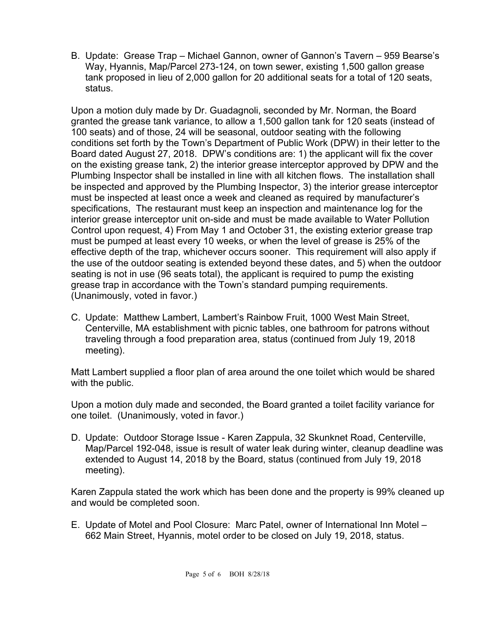B. Update: Grease Trap – Michael Gannon, owner of Gannon's Tavern – 959 Bearse's Way, Hyannis, Map/Parcel 273-124, on town sewer, existing 1,500 gallon grease tank proposed in lieu of 2,000 gallon for 20 additional seats for a total of 120 seats, status.

Upon a motion duly made by Dr. Guadagnoli, seconded by Mr. Norman, the Board granted the grease tank variance, to allow a 1,500 gallon tank for 120 seats (instead of 100 seats) and of those, 24 will be seasonal, outdoor seating with the following conditions set forth by the Town's Department of Public Work (DPW) in their letter to the Board dated August 27, 2018. DPW's conditions are: 1) the applicant will fix the cover on the existing grease tank, 2) the interior grease interceptor approved by DPW and the Plumbing Inspector shall be installed in line with all kitchen flows. The installation shall be inspected and approved by the Plumbing Inspector, 3) the interior grease interceptor must be inspected at least once a week and cleaned as required by manufacturer's specifications, The restaurant must keep an inspection and maintenance log for the interior grease interceptor unit on-side and must be made available to Water Pollution Control upon request, 4) From May 1 and October 31, the existing exterior grease trap must be pumped at least every 10 weeks, or when the level of grease is 25% of the effective depth of the trap, whichever occurs sooner. This requirement will also apply if the use of the outdoor seating is extended beyond these dates, and 5) when the outdoor seating is not in use (96 seats total), the applicant is required to pump the existing grease trap in accordance with the Town's standard pumping requirements. (Unanimously, voted in favor.)

C. Update: Matthew Lambert, Lambert's Rainbow Fruit, 1000 West Main Street, Centerville, MA establishment with picnic tables, one bathroom for patrons without traveling through a food preparation area, status (continued from July 19, 2018 meeting).

Matt Lambert supplied a floor plan of area around the one toilet which would be shared with the public.

Upon a motion duly made and seconded, the Board granted a toilet facility variance for one toilet. (Unanimously, voted in favor.)

D. Update: Outdoor Storage Issue - Karen Zappula, 32 Skunknet Road, Centerville, Map/Parcel 192-048, issue is result of water leak during winter, cleanup deadline was extended to August 14, 2018 by the Board, status (continued from July 19, 2018 meeting).

Karen Zappula stated the work which has been done and the property is 99% cleaned up and would be completed soon.

E. Update of Motel and Pool Closure: Marc Patel, owner of International Inn Motel – 662 Main Street, Hyannis, motel order to be closed on July 19, 2018, status.